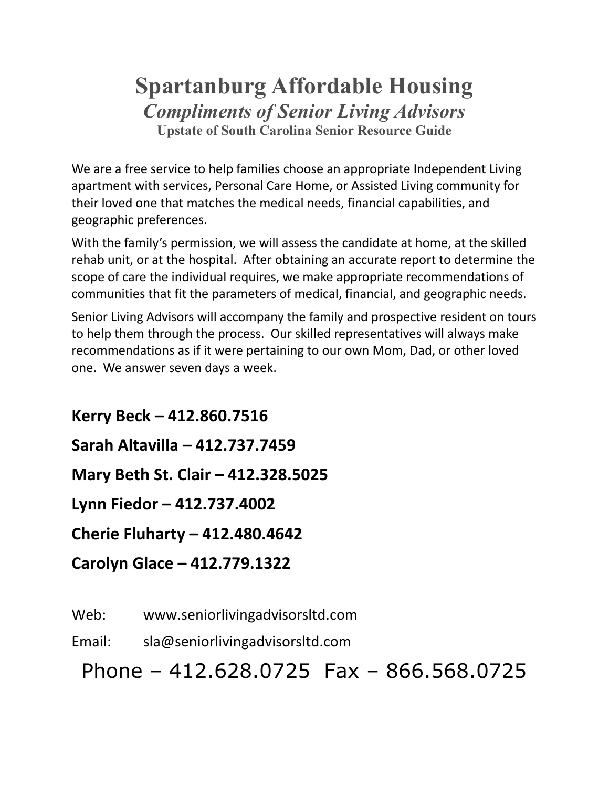# **Spartanburg Affordable Housing** *Compliments of Senior Living Advisors* **Upstate of South Carolina Senior Resource Guide**

We are a free service to help families choose an appropriate Independent Living apartment with services, Personal Care Home, or Assisted Living community for their loved one that matches the medical needs, financial capabilities, and geographic preferences.

With the family's permission, we will assess the candidate at home, at the skilled rehab unit, or at the hospital. After obtaining an accurate report to determine the scope of care the individual requires, we make appropriate recommendations of communities that fit the parameters of medical, financial, and geographic needs.

Senior Living Advisors will accompany the family and prospective resident on tours to help them through the process. Our skilled representatives will always make recommendations as if it were pertaining to our own Mom, Dad, or other loved one. We answer seven days a week.

**Kerry Beck – 412.860.7516 Sarah Altavilla – 412.737.7459 Mary Beth St. Clair – 412.328.5025 Lynn Fiedor – 412.737.4002 Cherie Fluharty – 412.480.4642 Carolyn Glace – 412.779.1322**

Web: www.seniorlivingadvisorsltd.com

Email: sla@seniorlivingadvisorsltd.com

Phone – 412.628.0725 Fax – 866.568.0725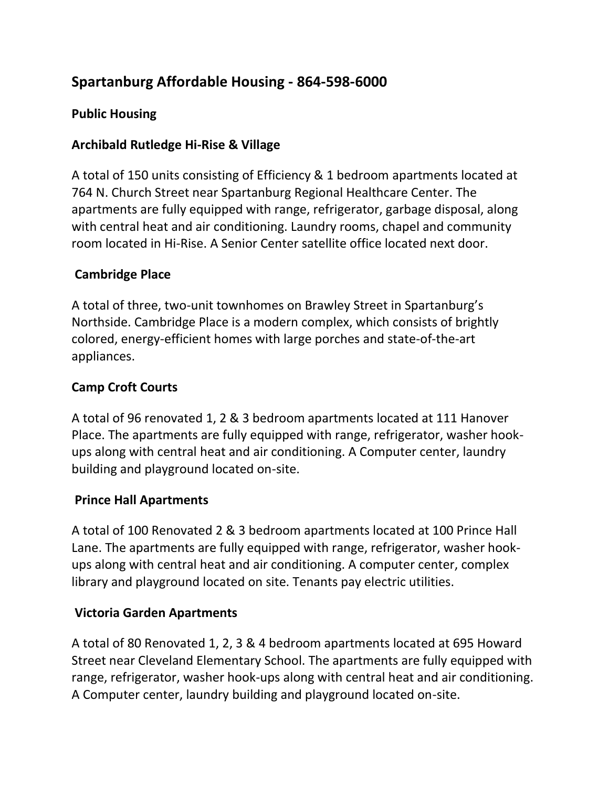# **Spartanburg Affordable Housing - 864-598-6000**

# **Public Housing**

# **Archibald Rutledge Hi-Rise & Village**

A total of 150 units consisting of Efficiency & 1 bedroom apartments located at 764 N. Church Street near Spartanburg Regional Healthcare Center. The apartments are fully equipped with range, refrigerator, garbage disposal, along with central heat and air conditioning. Laundry rooms, chapel and community room located in Hi-Rise. A Senior Center satellite office located next door.

# **Cambridge Place**

A total of three, two-unit townhomes on Brawley Street in Spartanburg's Northside. Cambridge Place is a modern complex, which consists of brightly colored, energy-efficient homes with large porches and state-of-the-art appliances.

# **Camp Croft Courts**

A total of 96 renovated 1, 2 & 3 bedroom apartments located at 111 Hanover Place. The apartments are fully equipped with range, refrigerator, washer hookups along with central heat and air conditioning. A Computer center, laundry building and playground located on-site.

#### **Prince Hall Apartments**

A total of 100 Renovated 2 & 3 bedroom apartments located at 100 Prince Hall Lane. The apartments are fully equipped with range, refrigerator, washer hookups along with central heat and air conditioning. A computer center, complex library and playground located on site. Tenants pay electric utilities.

#### **Victoria Garden Apartments**

A total of 80 Renovated 1, 2, 3 & 4 bedroom apartments located at 695 Howard Street near Cleveland Elementary School. The apartments are fully equipped with range, refrigerator, washer hook-ups along with central heat and air conditioning. A Computer center, laundry building and playground located on-site.